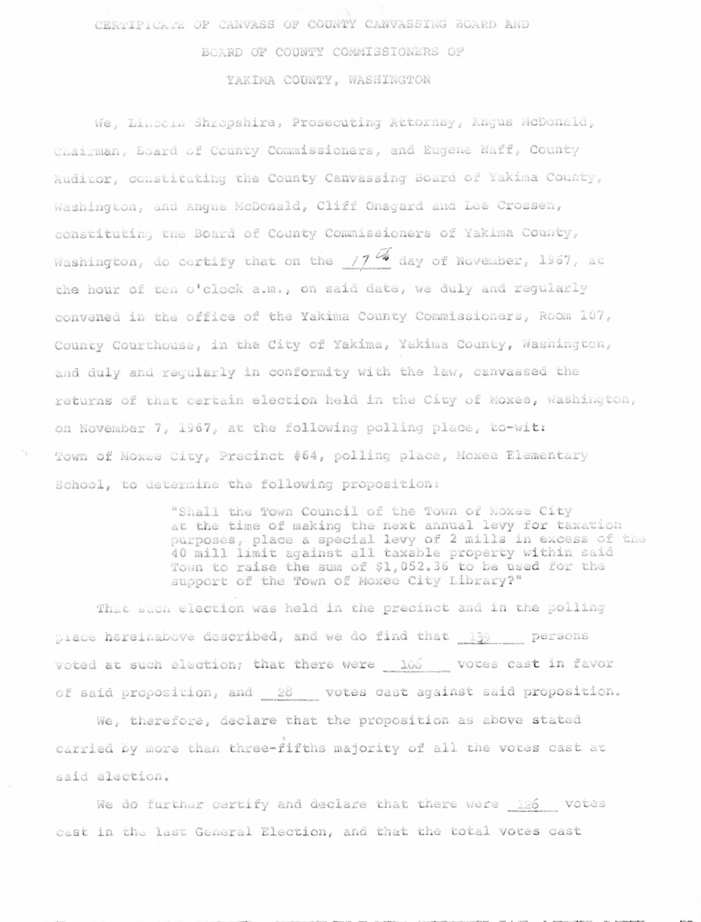CERTIFICATE OF CANVASS OF COUNTY CANVASSING BOARD AND BOARD OF COUNTY COMMISSIONERS OF YAKIMA COUNTY. WASHINGTON

We, Lincoln Shropshire, Prosecuting Attorney, Angus McDonald, Chairman, Eoard of County Commissioners, and Eugene Naff, County Auditor, constituting the County Canvassing Board of Yakima County, Washington, and Angus McDonald, Cliff Onsgard and Lee Crossen, constituting the Board of County Commissioners of Yakima County, Washington, do certify that on the  $17$ <sup>4</sup> day of November, 1967, at the hour of ten o'clock a.m., on said date, we duly and regularly convened in the office of the Yakima County Commissioners, Room 107, County Courthouse, in the City of Yakima, Yakima County, Washington, and duly and requiarly in conformity with the law, canvassed the returns of that certain election held in the City of Moxee, Washington, on November 7, 1967, at the following polling place, to-wit: Town of Moxee City, Precinct #64, polling place, Moxee Elementary School, to determine the following proposition:

> "Shall the Town Council of the Town of Moxee City at the time of making the next annual levy for taxation purposes, place a special levy of 2 mills in excess of the 40 mill limit against all taxable property within said Town to raise the sum of \$1,052.36 to be used for the support of the Town of Moxee City Library?"

That such election was held in the precinct and in the polling place hereinabove described, and we do find that 139 persons voted at such election; that there were 106 votes cast in favor of said proposition, and 28 votes cast against said proposition.

We, therefore, declare that the proposition as above stated carried by more than three-fifths majority of all the votes cast at said election.

We do further certify and declare that there were 126 votes cast in the last General Election, and that the total votes cast